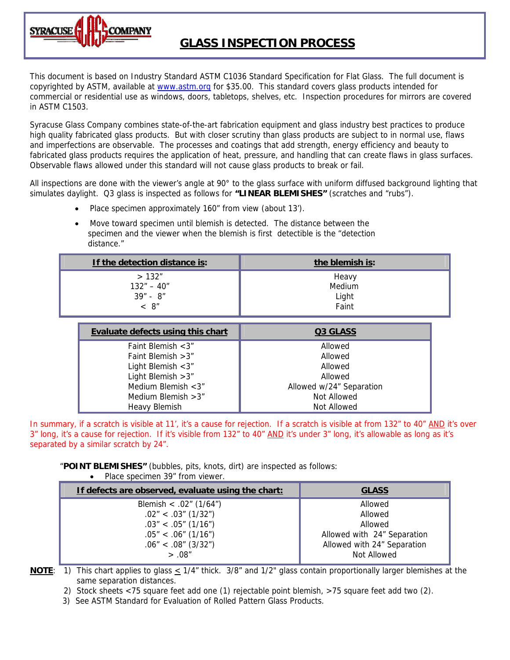

# **GLASS INSPECTION PROCESS**

This document is based on Industry Standard ASTM C1036 Standard Specification for Flat Glass. The full document is copyrighted by ASTM, available at [www.astm.org](http://www.astm.org/) for \$35.00. This standard covers glass products intended for commercial or residential use as windows, doors, tabletops, shelves, etc. Inspection procedures for mirrors are covered in ASTM C1503.

Syracuse Glass Company combines state-of-the-art fabrication equipment and glass industry best practices to produce high quality fabricated glass products. But with closer scrutiny than glass products are subject to in normal use, flaws and imperfections are observable. The processes and coatings that add strength, energy efficiency and beauty to fabricated glass products requires the application of heat, pressure, and handling that can create flaws in glass surfaces. Observable flaws allowed under this standard will not cause glass products to break or fail.

All inspections are done with the viewer's angle at 90° to the glass surface with uniform diffused background lighting that simulates daylight. Q3 glass is inspected as follows for **"LINEAR BLEMISHES"** (scratches and "rubs").

- Place specimen approximately 160" from view (about 13').
- Move toward specimen until blemish is detected. The distance between the specimen and the viewer when the blemish is first detectible is the "detection distance."

| If the detection distance is: | the blemish is: |
|-------------------------------|-----------------|
| >132"                         | Heavy           |
| $132" - 40"$                  | Medium          |
| $39'' - 8''$                  | Light           |
| < 8"                          | Faint           |

| <b>Evaluate defects using this chart</b> | Q3 GLASS                 |
|------------------------------------------|--------------------------|
| Faint Blemish $<$ 3"                     | Allowed                  |
| Faint Blemish $>3"$                      | Allowed                  |
| Light Blemish $<$ 3"                     | Allowed                  |
| Light Blemish $>3"$                      | Allowed                  |
| Medium Blemish $<$ 3"                    | Allowed w/24" Separation |
| Medium Blemish $>3$ "                    | Not Allowed              |
| Heavy Blemish                            | Not Allowed              |

In summary, if a scratch is visible at 11', it's a cause for rejection. If a scratch is visible at from 132" to 40" AND it's over 3" long, it's a cause for rejection. If it's visible from 132" to 40" AND it's under 3" long, it's allowable as long as it's separated by a similar scratch by 24".

"**POINT BLEMISHES"** (bubbles, pits, knots, dirt) are inspected as follows:

• Place specimen 39" from viewer.

| If defects are observed, evaluate using the chart: | <b>GLASS</b>                |
|----------------------------------------------------|-----------------------------|
| Blemish < .02" $(1/64")$                           | Allowed                     |
| $.02" < .03"$ (1/32")                              | Allowed                     |
| $.03'' < .05''$ (1/16")                            | Allowed                     |
| $.05" < .06"$ (1/16")                              | Allowed with 24" Separation |
| $.06'' < .08''$ (3/32")                            | Allowed with 24" Separation |
| > .08"                                             | Not Allowed                 |

**NOTE**: 1) This chart applies to glass  $\leq 1/4$ " thick. 3/8" and  $1/2$ " glass contain proportionally larger blemishes at the same separation distances.

2) Stock sheets <75 square feet add one (1) rejectable point blemish, >75 square feet add two (2).

3) See ASTM Standard for Evaluation of Rolled Pattern Glass Products.